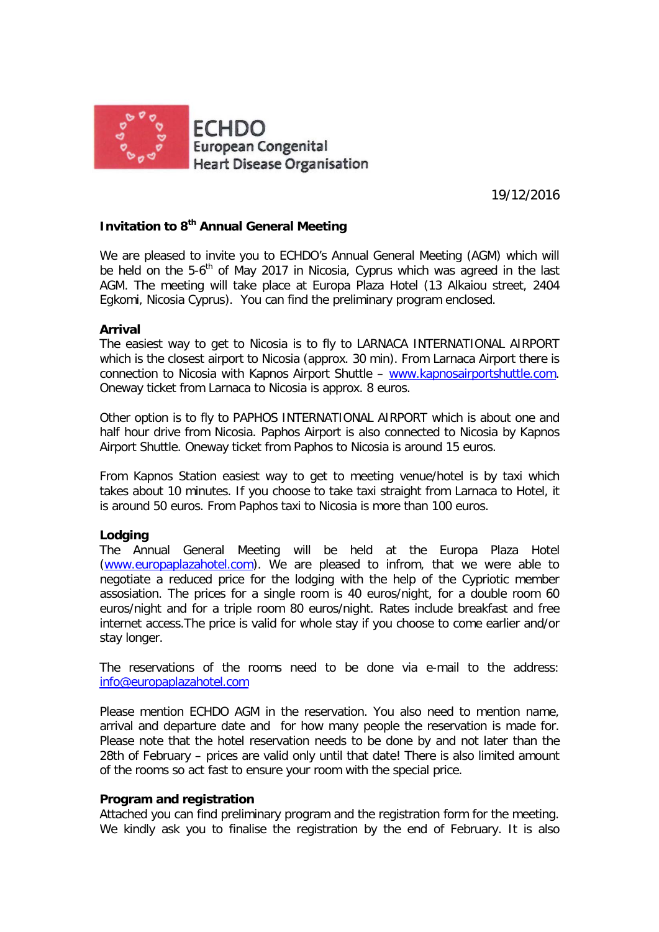

19/12/2016

# **Invitation to 8th Annual General Meeting**

We are pleased to invite you to ECHDO's Annual General Meeting (AGM) which will be held on the 5- $6<sup>th</sup>$  of May 2017 in Nicosia, Cyprus which was agreed in the last AGM. The meeting will take place at Europa Plaza Hotel (13 Alkaiou street, 2404 Egkomi, Nicosia Cyprus). You can find the preliminary program enclosed.

# **Arrival**

The easiest way to get to Nicosia is to fly to LARNACA INTERNATIONAL AIRPORT which is the closest airport to Nicosia (approx. 30 min). From Larnaca Airport there is connection to Nicosia with Kapnos Airport Shuttle – [www.kapnosairportshuttle.com.](http://www.kapnosairportshuttle.com/) Oneway ticket from Larnaca to Nicosia is approx. 8 euros.

Other option is to fly to PAPHOS INTERNATIONAL AIRPORT which is about one and half hour drive from Nicosia. Paphos Airport is also connected to Nicosia by Kapnos Airport Shuttle. Oneway ticket from Paphos to Nicosia is around 15 euros.

From Kapnos Station easiest way to get to meeting venue/hotel is by taxi which takes about 10 minutes. If you choose to take taxi straight from Larnaca to Hotel, it is around 50 euros. From Paphos taxi to Nicosia is more than 100 euros.

# **Lodging**

The Annual General Meeting will be held at the Europa Plaza Hotel [\(www.europaplazahotel.com\)](http://www.europaplazahotel.com/). We are pleased to infrom, that we were able to negotiate a reduced price for the lodging with the help of the Cypriotic member assosiation. The prices for a single room is 40 euros/night, for a double room 60 euros/night and for a triple room 80 euros/night. Rates include breakfast and free internet access.The price is valid for whole stay if you choose to come earlier and/or stay longer.

The reservations of the rooms need to be done via e-mail to the address: [info@europaplazahotel.com](mailto:info@europaplazahotel.com)

Please mention ECHDO AGM in the reservation. You also need to mention name, arrival and departure date and for how many people the reservation is made for. Please note that the hotel reservation needs to be done by and not later than the 28th of February – prices are valid only until that date! There is also limited amount of the rooms so act fast to ensure your room with the special price.

### **Program and registration**

Attached you can find preliminary program and the registration form for the meeting. We kindly ask you to finalise the registration by the end of February. It is also